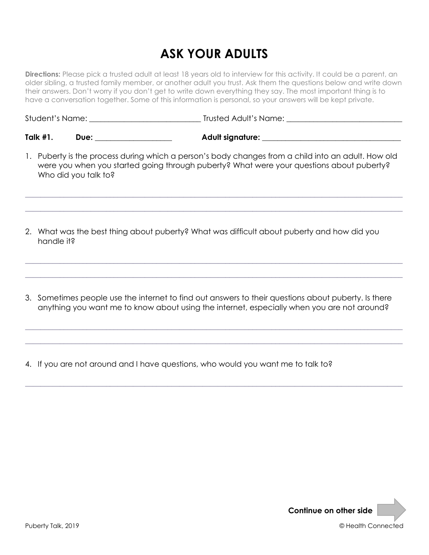# **ASK YOUR ADULTS**

**Directions:** Please pick a trusted adult at least 18 years old to interview for this activity. It could be a parent, an older sibling, a trusted family member, or another adult you trust. Ask them the questions below and write down their answers. Don't worry if you don't get to write down everything they say. The most important thing is to have a conversation together. Some of this information is personal, so your answers will be kept private.

Student's Name: **\_\_\_\_\_\_\_\_\_\_\_\_\_\_\_\_\_\_\_\_\_\_\_\_\_\_\_\_\_** Trusted Adult's Name: **\_\_\_\_\_\_\_\_\_\_\_\_\_\_\_\_\_\_\_\_\_\_\_\_\_\_\_\_\_\_**

**Talk #1.** Due: the contract of a contract and a contract of a contract of a contract of a contract of a contract of  $\mathbf{A}$  dult signature:  $\mathbf{A}$ 

1. Puberty is the process during which a person's body changes from a child into an adult. How old were you when you started going through puberty? What were your questions about puberty? Who did you talk to?

**\_\_\_\_\_\_\_\_\_\_\_\_\_\_\_\_\_\_\_\_\_\_\_\_\_\_\_\_\_\_\_\_\_\_\_\_\_\_\_\_\_\_\_\_\_\_\_\_\_\_\_\_\_\_\_\_\_\_\_\_\_\_\_\_\_\_\_\_\_\_\_\_\_\_\_\_\_\_\_\_\_\_\_\_\_\_\_\_\_\_\_\_\_\_\_\_\_\_**

**\_\_\_\_\_\_\_\_\_\_\_\_\_\_\_\_\_\_\_\_\_\_\_\_\_\_\_\_\_\_\_\_\_\_\_\_\_\_\_\_\_\_\_\_\_\_\_\_\_\_\_\_\_\_\_\_\_\_\_\_\_\_\_\_\_\_\_\_\_\_\_\_\_\_\_\_\_\_\_\_\_\_\_\_\_\_\_\_\_\_\_\_\_\_\_\_\_\_**

**\_\_\_\_\_\_\_\_\_\_\_\_\_\_\_\_\_\_\_\_\_\_\_\_\_\_\_\_\_\_\_\_\_\_\_\_\_\_\_\_\_\_\_\_\_\_\_\_\_\_\_\_\_\_\_\_\_\_\_\_\_\_\_\_\_\_\_\_\_\_\_\_\_\_\_\_\_\_\_\_\_\_\_\_\_\_\_\_\_\_\_\_\_\_\_\_\_\_**

**\_\_\_\_\_\_\_\_\_\_\_\_\_\_\_\_\_\_\_\_\_\_\_\_\_\_\_\_\_\_\_\_\_\_\_\_\_\_\_\_\_\_\_\_\_\_\_\_\_\_\_\_\_\_\_\_\_\_\_\_\_\_\_\_\_\_\_\_\_\_\_\_\_\_\_\_\_\_\_\_\_\_\_\_\_\_\_\_\_\_\_\_\_\_\_\_\_\_**

- 2. What was the best thing about puberty? What was difficult about puberty and how did you handle it?
- 3. Sometimes people use the internet to find out answers to their questions about puberty. Is there anything you want me to know about using the internet, especially when you are not around?

**\_\_\_\_\_\_\_\_\_\_\_\_\_\_\_\_\_\_\_\_\_\_\_\_\_\_\_\_\_\_\_\_\_\_\_\_\_\_\_\_\_\_\_\_\_\_\_\_\_\_\_\_\_\_\_\_\_\_\_\_\_\_\_\_\_\_\_\_\_\_\_\_\_\_\_\_\_\_\_\_\_\_\_\_\_\_\_\_\_\_\_\_\_\_\_\_\_\_**

**\_\_\_\_\_\_\_\_\_\_\_\_\_\_\_\_\_\_\_\_\_\_\_\_\_\_\_\_\_\_\_\_\_\_\_\_\_\_\_\_\_\_\_\_\_\_\_\_\_\_\_\_\_\_\_\_\_\_\_\_\_\_\_\_\_\_\_\_\_\_\_\_\_\_\_\_\_\_\_\_\_\_\_\_\_\_\_\_\_\_\_\_\_\_\_\_\_\_**

**\_\_\_\_\_\_\_\_\_\_\_\_\_\_\_\_\_\_\_\_\_\_\_\_\_\_\_\_\_\_\_\_\_\_\_\_\_\_\_\_\_\_\_\_\_\_\_\_\_\_\_\_\_\_\_\_\_\_\_\_\_\_\_\_\_\_\_\_\_\_\_\_\_\_\_\_\_\_\_\_\_\_\_\_\_\_\_\_\_\_\_\_\_\_\_\_\_\_**

4. If you are not around and I have questions, who would you want me to talk to?